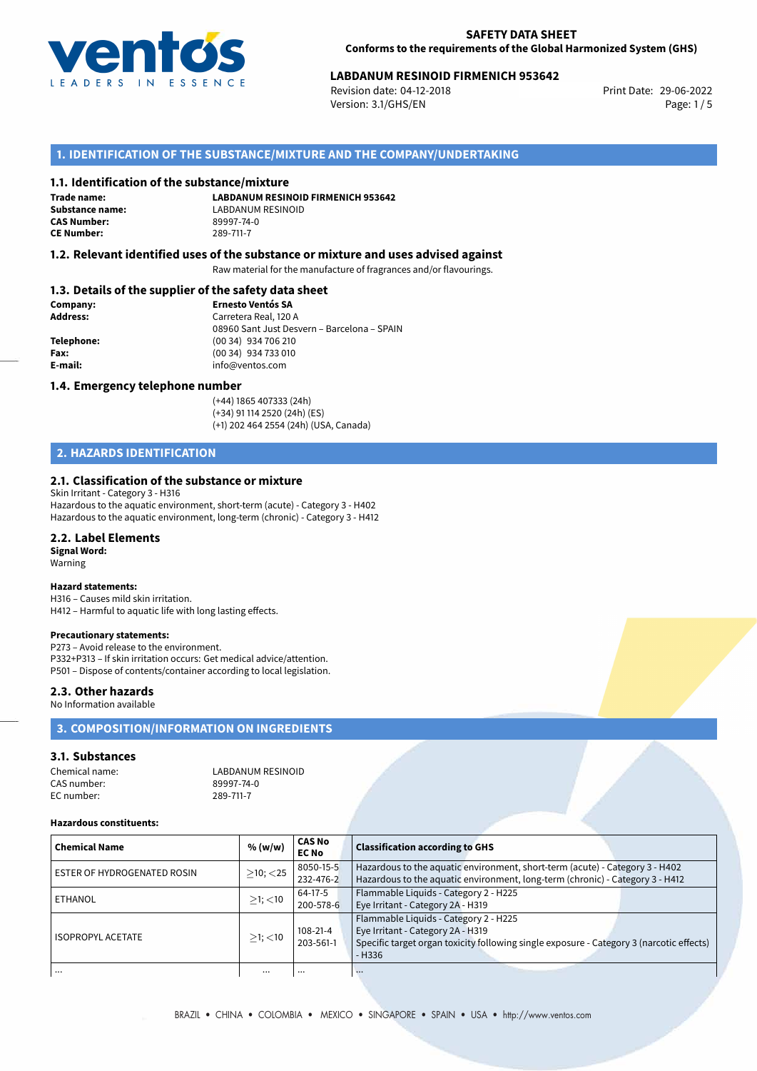

## **LABDANUM RESINOID FIRMENICH 953642**<br>Revision date: 04-12-2018<br>Print Date: 29-06-2022

Revision date: 04-12-2018 Version: 3.1/GHS/EN Page: 1 / 5

## **1. IDENTIFICATION OF THE SUBSTANCE/MIXTURE AND THE COMPANY/UNDERTAKING**

### **1.1. Identification of the substance/mixture**

**Trade name: CAS Number:** 89997-74<br> **CE Number:** 289-711-7 **CE Number:** 289-711-7

**LABDANUM RESINOID FIRMENICH 953642 Substance name:** LABDANUM RESINOID

## **1.2. Relevant identified uses of the substance or mixture and uses advised against**

Raw material for the manufacture of fragrances and/or flavourings.

## **1.3. Details of the supplier of the safety data sheet**

| Company:        | <b>Ernesto Ventós SA</b>                    |
|-----------------|---------------------------------------------|
| <b>Address:</b> | Carretera Real, 120 A                       |
|                 | 08960 Sant Just Desvern - Barcelona - SPAIN |
| Telephone:      | $(0034)$ 934 706 210                        |
| Fax:            | (00 34) 934 733 010                         |
| E-mail:         | info@ventos.com                             |
|                 |                                             |

### **1.4. Emergency telephone number**

(+44) 1865 407333 (24h) (+34) 91 114 2520 (24h) (ES) (+1) 202 464 2554 (24h) (USA, Canada)

## **2. HAZARDS IDENTIFICATION**

### **2.1. Classification of the substance or mixture**

Skin Irritant - Category 3 - H316 Hazardous to the aquatic environment, short-term (acute) - Category 3 - H402 Hazardous to the aquatic environment, long-term (chronic) - Category 3 - H412

#### **2.2. Label Elements**

**Signal Word:** Warning

#### **Hazard statements:**

H316 – Causes mild skin irritation. H412 – Harmful to aquatic life with long lasting effects.

#### **Precautionary statements:**

P273 – Avoid release to the environment. P332+P313 – If skin irritation occurs: Get medical advice/attention. P501 – Dispose of contents/container according to local legislation.

## **2.3. Other hazards**

No Information available

## **3. COMPOSITION/INFORMATION ON INGREDIENTS**

## **3.1. Substances**

| Chemical name: | LABDANUM RESINOID |
|----------------|-------------------|
| CAS number:    | 89997-74-0        |
| EC number:     | 289-711-7         |

#### **Hazardous constituents:**

| <b>Chemical Name</b>        | % (w/w)        | <b>CAS No</b><br><b>EC No</b> | <b>Classification according to GHS</b>                                                                                                                                            |
|-----------------------------|----------------|-------------------------------|-----------------------------------------------------------------------------------------------------------------------------------------------------------------------------------|
| ESTER OF HYDROGENATED ROSIN | $>10$ ; $<$ 25 | 8050-15-5<br>232-476-2        | Hazardous to the aquatic environment, short-term (acute) - Category 3 - H402<br>Hazardous to the aquatic environment, long-term (chronic) - Category 3 - H412                     |
| ETHANOL                     | $>1$ ; $<$ 10  | 64-17-5<br>200-578-6          | Flammable Liquids - Category 2 - H225<br>Eye Irritant - Category 2A - H319                                                                                                        |
| <b>ISOPROPYL ACETATE</b>    | $>1$ ; $<$ 10  | $108 - 21 - 4$<br>203-561-1   | Flammable Liquids - Category 2 - H225<br>Eye Irritant - Category 2A - H319<br>Specific target organ toxicity following single exposure - Category 3 (narcotic effects)<br>$-H336$ |
| $\cdots$                    |                |                               | $\cdots$                                                                                                                                                                          |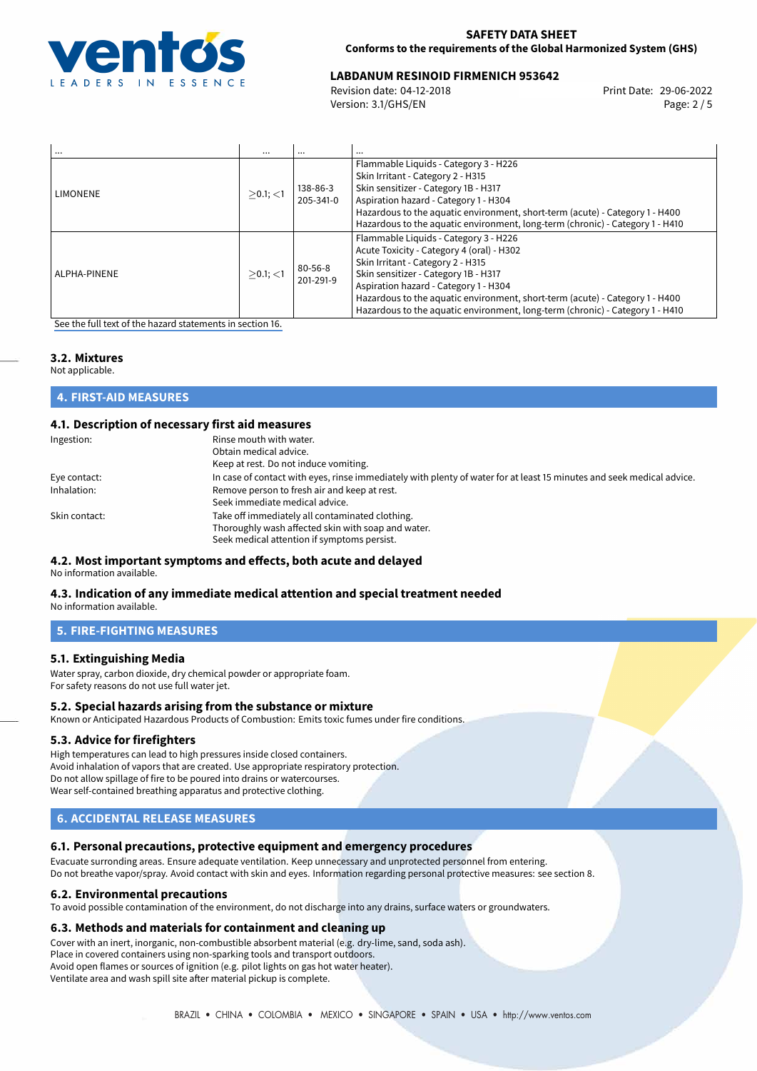

## **LABDANUM RESINOID FIRMENICH 953642**<br>Revision date: 04-12-2018<br>Print Date: 29-06-2022

Revision date: 04-12-2018 Version: 3.1/GHS/EN Page: 2 / 5

| $\cdots$        | $\cdots$    |                            | $\cdots$                                                                                                                                                                                                                                                                                                                                                                  |
|-----------------|-------------|----------------------------|---------------------------------------------------------------------------------------------------------------------------------------------------------------------------------------------------------------------------------------------------------------------------------------------------------------------------------------------------------------------------|
| <b>LIMONENE</b> | $>0.1$ ; <1 | 138-86-3<br>205-341-0      | Flammable Liquids - Category 3 - H226<br>Skin Irritant - Category 2 - H315<br>Skin sensitizer - Category 1B - H317<br>Aspiration hazard - Category 1 - H304<br>Hazardous to the aquatic environment, short-term (acute) - Category 1 - H400<br>Hazardous to the aquatic environment, long-term (chronic) - Category 1 - H410                                              |
| ALPHA-PINENE    | $>0.1$ ; <1 | $80 - 56 - 8$<br>201-291-9 | Flammable Liquids - Category 3 - H226<br>Acute Toxicity - Category 4 (oral) - H302<br>Skin Irritant - Category 2 - H315<br>Skin sensitizer - Category 1B - H317<br>Aspiration hazard - Category 1 - H304<br>Hazardous to the aquatic environment, short-term (acute) - Category 1 - H400<br>Hazardous to the aquatic environment, long-term (chronic) - Category 1 - H410 |

[See the full text of the hazard statements in section 16.](#page-4-0)

## **3.2. Mixtures**

Not applicable.

| <b>4. FIRST-AID MEASURES</b> |  |  |
|------------------------------|--|--|
|                              |  |  |

## **4.1. Description of necessary first aid measures**

| Ingestion:    | Rinse mouth with water.<br>Obtain medical advice.                                                                     |
|---------------|-----------------------------------------------------------------------------------------------------------------------|
|               | Keep at rest. Do not induce vomiting.                                                                                 |
| Eye contact:  | In case of contact with eyes, rinse immediately with plenty of water for at least 15 minutes and seek medical advice. |
| Inhalation:   | Remove person to fresh air and keep at rest.                                                                          |
|               | Seek immediate medical advice.                                                                                        |
| Skin contact: | Take off immediately all contaminated clothing.                                                                       |
|               | Thoroughly wash affected skin with soap and water.                                                                    |
|               | Seek medical attention if symptoms persist.                                                                           |

#### **4.2. Most important symptoms and effects, both acute and delayed** No information available.

## **4.3. Indication of any immediate medical attention and special treatment needed**

No information available.

## **5. FIRE-FIGHTING MEASURES**

## **5.1. Extinguishing Media**

Water spray, carbon dioxide, dry chemical powder or appropriate foam. For safety reasons do not use full water jet.

## **5.2. Special hazards arising from the substance or mixture**

Known or Anticipated Hazardous Products of Combustion: Emits toxic fumes under fire conditions.

## **5.3. Advice for firefighters**

High temperatures can lead to high pressures inside closed containers. Avoid inhalation of vapors that are created. Use appropriate respiratory protection. Do not allow spillage of fire to be poured into drains or watercourses. Wear self-contained breathing apparatus and protective clothing.

## **6. ACCIDENTAL RELEASE MEASURES**

## **6.1. Personal precautions, protective equipment and emergency procedures**

Evacuate surronding areas. Ensure adequate ventilation. Keep unnecessary and unprotected personnel from entering. Do not breathe vapor/spray. Avoid contact with skin and eyes. Information regarding personal protective measures: see section 8.

## **6.2. Environmental precautions**

To avoid possible contamination of the environment, do not discharge into any drains, surface waters or groundwaters.

## **6.3. Methods and materials for containment and cleaning up**

Cover with an inert, inorganic, non-combustible absorbent material (e.g. dry-lime, sand, soda ash). Place in covered containers using non-sparking tools and transport outdoors. Avoid open flames or sources of ignition (e.g. pilot lights on gas hot water heater). Ventilate area and wash spill site after material pickup is complete.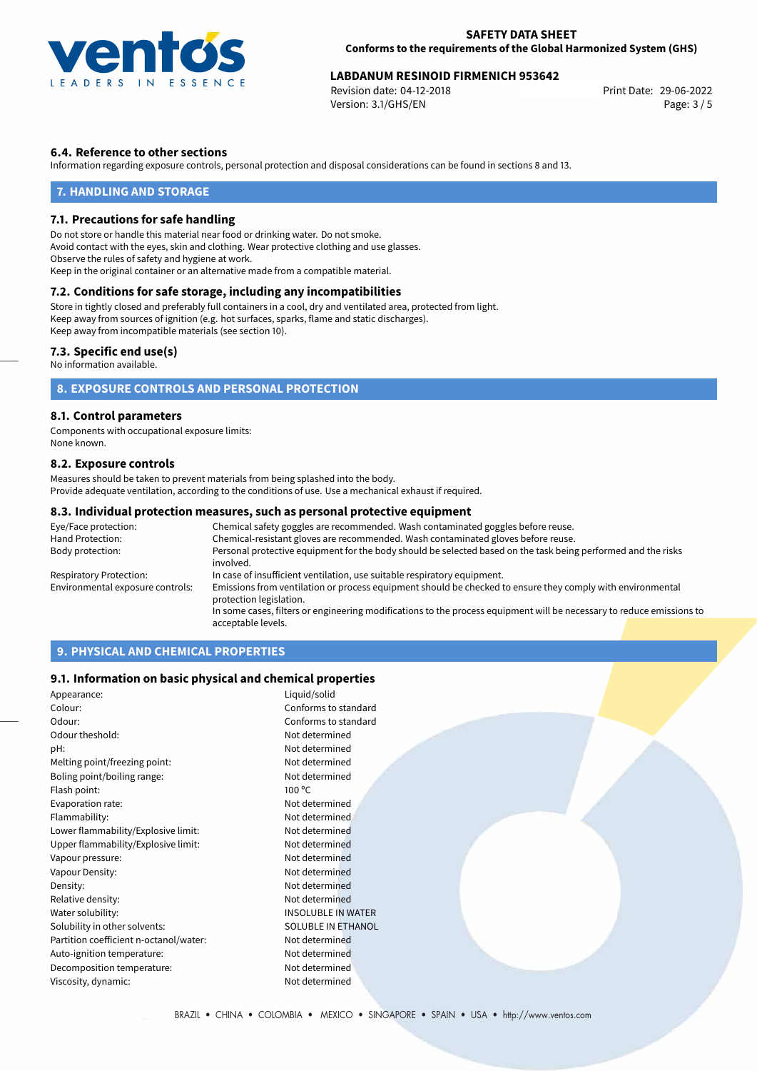

# **LABDANUM RESINOID FIRMENICH 953642**<br>Revision date: 04-12-2018<br>Print Date: 29-06-2022

Revision date: 04-12-2018 Version: 3.1/GHS/EN Page: 3 / 5

## **6.4. Reference to other sections**

Information regarding exposure controls, personal protection and disposal considerations can be found in sections 8 and 13.

## **7. HANDLING AND STORAGE**

#### **7.1. Precautions for safe handling**

Do not store or handle this material near food or drinking water. Do not smoke. Avoid contact with the eyes, skin and clothing. Wear protective clothing and use glasses. Observe the rules of safety and hygiene at work. Keep in the original container or an alternative made from a compatible material.

## **7.2. Conditions for safe storage, including any incompatibilities**

Store in tightly closed and preferably full containers in a cool, dry and ventilated area, protected from light. Keep away from sources of ignition (e.g. hot surfaces, sparks, flame and static discharges). Keep away from incompatible materials (see section 10).

### **7.3. Specific end use(s)**

No information available.

## **8. EXPOSURE CONTROLS AND PERSONAL PROTECTION**

### **8.1. Control parameters**

Components with occupational exposure limits: None known.

### **8.2. Exposure controls**

Measures should be taken to prevent materials from being splashed into the body. Provide adequate ventilation, according to the conditions of use. Use a mechanical exhaust if required.

#### **8.3. Individual protection measures, such as personal protective equipment**

| Eye/Face protection:             | Chemical safety goggles are recommended. Wash contaminated goggles before reuse.                                                      |  |
|----------------------------------|---------------------------------------------------------------------------------------------------------------------------------------|--|
| Hand Protection:                 | Chemical-resistant gloves are recommended. Wash contaminated gloves before reuse.                                                     |  |
| Body protection:                 | Personal protective equipment for the body should be selected based on the task being performed and the risks<br>involved.            |  |
| Respiratory Protection:          | In case of insufficient ventilation, use suitable respiratory equipment.                                                              |  |
| Environmental exposure controls: | Emissions from ventilation or process equipment should be checked to ensure they comply with environmental<br>protection legislation. |  |
|                                  | In some cases, filters or engineering modifications to the process equipment will be necessary to reduce emissions to                 |  |
|                                  | acceptable levels.                                                                                                                    |  |

## **9. PHYSICAL AND CHEMICAL PROPERTIES**

## **9.1. Information on basic physical and chemical properties**

| Appearance:                            | Liquid/solid              |
|----------------------------------------|---------------------------|
| Colour:                                | Conforms to standard      |
| Odour:                                 | Conforms to standard      |
| Odour theshold:                        | Not determined            |
| pH:                                    | Not determined            |
| Melting point/freezing point:          | Not determined            |
| Boling point/boiling range:            | Not determined            |
| Flash point:                           | $100^{\circ}$ C           |
| Evaporation rate:                      | Not determined            |
| Flammability:                          | Not determined            |
| Lower flammability/Explosive limit:    | Not determined            |
| Upper flammability/Explosive limit:    | Not determined            |
| Vapour pressure:                       | Not determined            |
| Vapour Density:                        | Not determined            |
| Density:                               | Not determined            |
| Relative density:                      | Not determined            |
| Water solubility:                      | <b>INSOLUBLE IN WATER</b> |
| Solubility in other solvents:          | <b>SOLUBLE IN ETHANOL</b> |
| Partition coefficient n-octanol/water: | Not determined            |
| Auto-ignition temperature:             | Not determined            |
| Decomposition temperature:             | Not determined            |
| Viscosity, dynamic:                    | Not determined            |
|                                        |                           |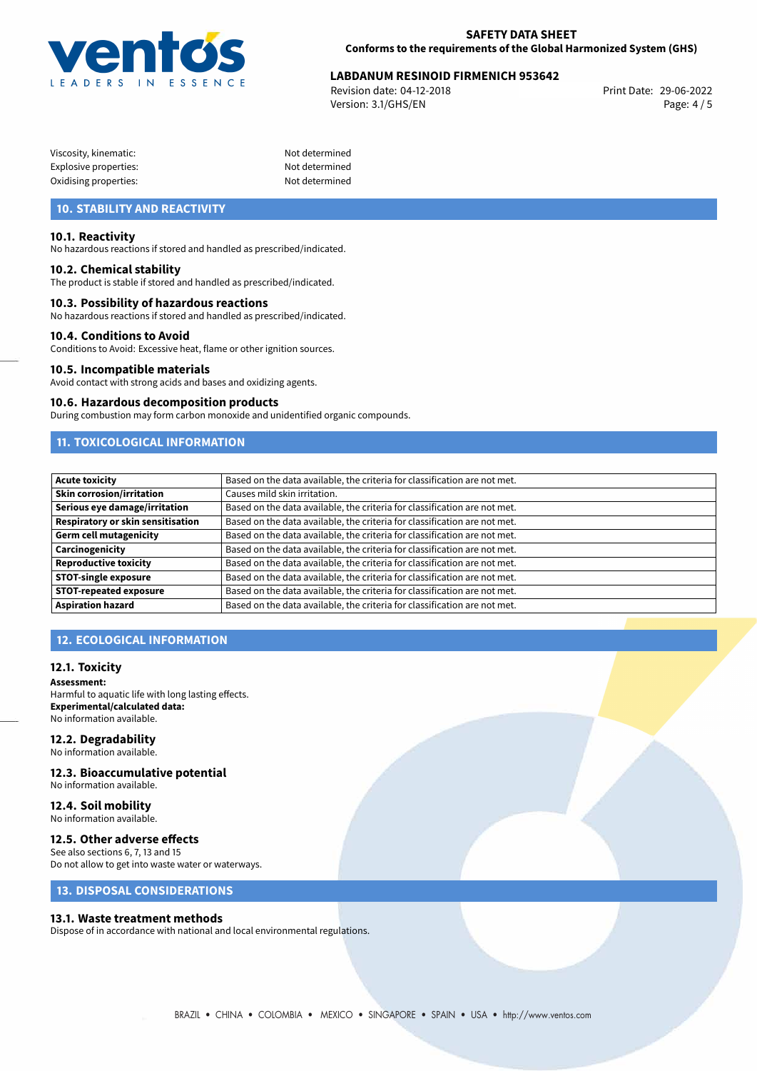

## **LABDANUM RESINOID FIRMENICH 953642**<br>Revision date: 04-12-2018<br>Print Date: 29-06-2022

Revision date: 04-12-2018 Version: 3.1/GHS/EN Page: 4 / 5

| Viscosity, kinematic: |  |
|-----------------------|--|
| Explosive properties: |  |
| Oxidising properties: |  |

Not determined Not determined Not determined

## **10. STABILITY AND REACTIVITY**

## **10.1. Reactivity**

No hazardous reactions if stored and handled as prescribed/indicated.

### **10.2. Chemical stability**

The product is stable if stored and handled as prescribed/indicated.

### **10.3. Possibility of hazardous reactions**

No hazardous reactions if stored and handled as prescribed/indicated.

#### **10.4. Conditions to Avoid**

Conditions to Avoid: Excessive heat, flame or other ignition sources.

#### **10.5. Incompatible materials**

Avoid contact with strong acids and bases and oxidizing agents.

#### **10.6. Hazardous decomposition products**

During combustion may form carbon monoxide and unidentified organic compounds.

## **11. TOXICOLOGICAL INFORMATION**

| Acute toxicity                    | Based on the data available, the criteria for classification are not met. |
|-----------------------------------|---------------------------------------------------------------------------|
| <b>Skin corrosion/irritation</b>  | Causes mild skin irritation.                                              |
| Serious eye damage/irritation     | Based on the data available, the criteria for classification are not met. |
| Respiratory or skin sensitisation | Based on the data available, the criteria for classification are not met. |
| Germ cell mutagenicity            | Based on the data available, the criteria for classification are not met. |
| <b>Carcinogenicity</b>            | Based on the data available, the criteria for classification are not met. |
| Reproductive toxicity             | Based on the data available, the criteria for classification are not met. |
| STOT-single exposure              | Based on the data available, the criteria for classification are not met. |
| <b>STOT-repeated exposure</b>     | Based on the data available, the criteria for classification are not met. |
| <b>Aspiration hazard</b>          | Based on the data available, the criteria for classification are not met. |

## **12. ECOLOGICAL INFORMATION**

#### **12.1. Toxicity**

**Assessment:** Harmful to aquatic life with long lasting effects. **Experimental/calculated data:** No information available.

## **12.2. Degradability**

No information available.

## **12.3. Bioaccumulative potential**

No information available.

#### **12.4. Soil mobility** No information available.

## **12.5. Other adverse effects**

See also sections 6, 7, 13 and 15 Do not allow to get into waste water or waterways.

## **13. DISPOSAL CONSIDERATIONS**

#### **13.1. Waste treatment methods**

Dispose of in accordance with national and local environmental regulations.